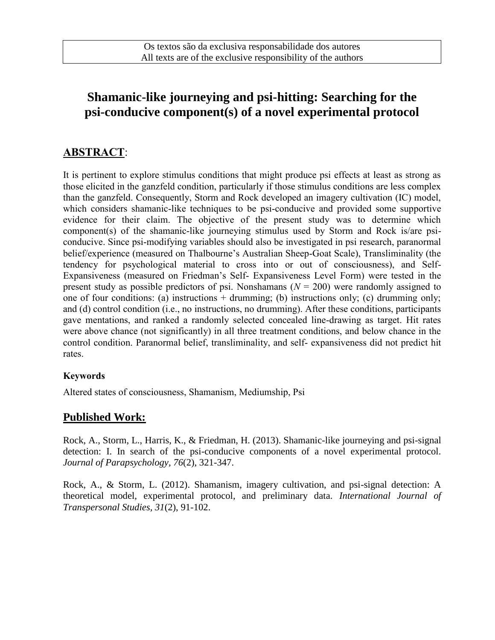# **Shamanic-like journeying and psi-hitting: Searching for the psi-conducive component(s) of a novel experimental protocol**

## **ABSTRACT**:

It is pertinent to explore stimulus conditions that might produce psi effects at least as strong as those elicited in the ganzfeld condition, particularly if those stimulus conditions are less complex than the ganzfeld. Consequently, Storm and Rock developed an imagery cultivation (IC) model, which considers shamanic-like techniques to be psi-conducive and provided some supportive evidence for their claim. The objective of the present study was to determine which component(s) of the shamanic-like journeying stimulus used by Storm and Rock is/are psiconducive. Since psi-modifying variables should also be investigated in psi research, paranormal belief/experience (measured on Thalbourne's Australian Sheep-Goat Scale), Transliminality (the tendency for psychological material to cross into or out of consciousness), and Self-Expansiveness (measured on Friedman's Self- Expansiveness Level Form) were tested in the present study as possible predictors of psi. Nonshamans (*N* = 200) were randomly assigned to one of four conditions: (a) instructions  $+$  drumming; (b) instructions only; (c) drumming only; and (d) control condition (i.e., no instructions, no drumming). After these conditions, participants gave mentations, and ranked a randomly selected concealed line-drawing as target. Hit rates were above chance (not significantly) in all three treatment conditions, and below chance in the control condition. Paranormal belief, transliminality, and self- expansiveness did not predict hit rates.

#### **Keywords**

Altered states of consciousness, Shamanism, Mediumship, Psi

#### **Published Work:**

Rock, A., Storm, L., Harris, K., & Friedman, H. (2013). Shamanic-like journeying and psi-signal detection: I. In search of the psi-conducive components of a novel experimental protocol. *Journal of Parapsychology, 76*(2), 321-347.

Rock, A., & Storm, L. (2012). Shamanism, imagery cultivation, and psi-signal detection: A theoretical model, experimental protocol, and preliminary data. *International Journal of Transpersonal Studies, 31*(2), 91-102.